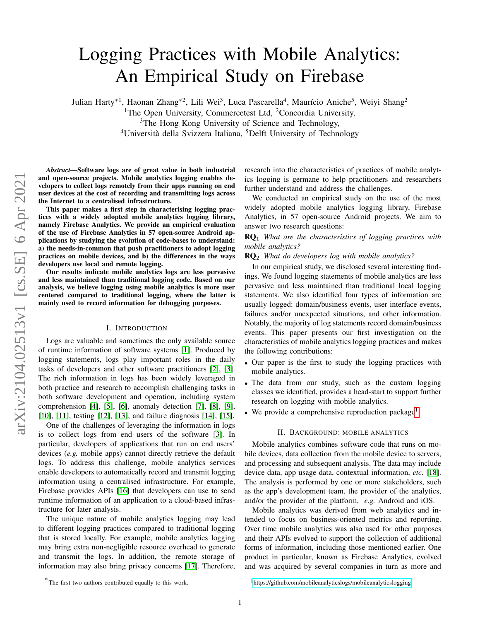# Logging Practices with Mobile Analytics: An Empirical Study on Firebase

Julian Harty<sup>\*1</sup>, Haonan Zhang<sup>\*2</sup>, Lili Wei<sup>3</sup>, Luca Pascarella<sup>4</sup>, Maurício Aniche<sup>5</sup>, Weiyi Shang<sup>2</sup> <sup>1</sup>The Open University, Commercetest Ltd, <sup>2</sup>Concordia University, <sup>3</sup>The Hong Kong University of Science and Technology, <sup>4</sup>Università della Svizzera Italiana, <sup>5</sup>Delft University of Technology

*Abstract*—Software logs are of great value in both industrial and open-source projects. Mobile analytics logging enables developers to collect logs remotely from their apps running on end user devices at the cost of recording and transmitting logs across the Internet to a centralised infrastructure.

This paper makes a first step in characterising logging practices with a widely adopted mobile analytics logging library, namely Firebase Analytics. We provide an empirical evaluation of the use of Firebase Analytics in 57 open-source Android applications by studying the evolution of code-bases to understand: a) the needs-in-common that push practitioners to adopt logging practices on mobile devices, and b) the differences in the ways developers use local and remote logging.

Our results indicate mobile analytics logs are less pervasive and less maintained than traditional logging code. Based on our analysis, we believe logging using mobile analytics is more user centered compared to traditional logging, where the latter is mainly used to record information for debugging purposes.

## I. INTRODUCTION

Logs are valuable and sometimes the only available source of runtime information of software systems [\[1\]](#page-4-0). Produced by logging statements, logs play important roles in the daily tasks of developers and other software practitioners [\[2\]](#page-4-1), [\[3\]](#page-4-2). The rich information in logs has been widely leveraged in both practice and research to accomplish challenging tasks in both software development and operation, including system comprehension [\[4\]](#page-4-3), [\[5\]](#page-4-4), [\[6\]](#page-4-5), anomaly detection [\[7\]](#page-4-6), [\[8\]](#page-4-7), [\[9\]](#page-4-8), [\[10\]](#page-4-9), [\[11\]](#page-4-10), testing [\[12\]](#page-4-11), [\[13\]](#page-4-12), and failure diagnosis [\[14\]](#page-4-13), [\[15\]](#page-4-14).

One of the challenges of leveraging the information in logs is to collect logs from end users of the software [\[3\]](#page-4-2). In particular, developers of applications that run on end users' devices (*e.g.* mobile apps) cannot directly retrieve the default logs. To address this challenge, mobile analytics services enable developers to automatically record and transmit logging information using a centralised infrastructure. For example, Firebase provides APIs [\[16\]](#page-4-15) that developers can use to send runtime information of an application to a cloud-based infrastructure for later analysis.

The unique nature of mobile analytics logging may lead to different logging practices compared to traditional logging that is stored locally. For example, mobile analytics logging may bring extra non-negligible resource overhead to generate and transmit the logs. In addition, the remote storage of information may also bring privacy concerns [\[17\]](#page-4-16). Therefore, research into the characteristics of practices of mobile analytics logging is germane to help practitioners and researchers further understand and address the challenges.

We conducted an empirical study on the use of the most widely adopted mobile analytics logging library, Firebase Analytics, in 57 open-source Android projects. We aim to answer two research questions:

# RQ<sup>1</sup> *What are the characteristics of logging practices with mobile analytics?*

RQ<sup>2</sup> *What do developers log with mobile analytics?*

In our empirical study, we disclosed several interesting findings. We found logging statements of mobile analytics are less pervasive and less maintained than traditional local logging statements. We also identified four types of information are usually logged: domain/business events, user interface events, failures and/or unexpected situations, and other information. Notably, the majority of log statements record domain/business events. This paper presents our first investigation on the characteristics of mobile analytics logging practices and makes the following contributions:

- Our paper is the first to study the logging practices with mobile analytics.
- The data from our study, such as the custom logging classes we identified, provides a head-start to support further research on logging with mobile analytics.
- $\bullet$  We provide a comprehensive reproduction package<sup>[1](#page-0-0)</sup>.

## II. BACKGROUND: MOBILE ANALYTICS

Mobile analytics combines software code that runs on mobile devices, data collection from the mobile device to servers, and processing and subsequent analysis. The data may include device data, app usage data, contextual information, *etc.* [\[18\]](#page-4-17). The analysis is performed by one or more stakeholders, such as the app's development team, the provider of the analytics, and/or the provider of the platform, *e.g.* Android and iOS.

Mobile analytics was derived from web analytics and intended to focus on business-oriented metrics and reporting. Over time mobile analytics was also used for other purposes and their APIs evolved to support the collection of additional forms of information, including those mentioned earlier. One product in particular, known as Firebase Analytics, evolved and was acquired by several companies in turn as more and

<sup>∗</sup> The first two authors contributed equally to this work.

<span id="page-0-0"></span><sup>1</sup><https://github.com/mobileanalyticslogs/mobileanalyticslogging>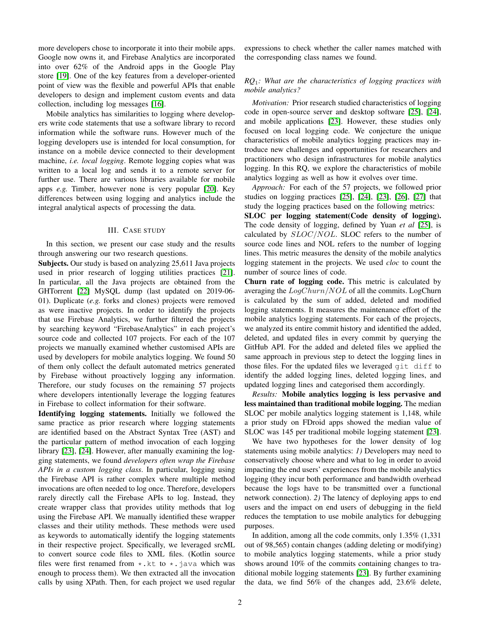more developers chose to incorporate it into their mobile apps. Google now owns it, and Firebase Analytics are incorporated into over 62% of the Android apps in the Google Play store [\[19\]](#page-4-18). One of the key features from a developer-oriented point of view was the flexible and powerful APIs that enable developers to design and implement custom events and data collection, including log messages [\[16\]](#page-4-15).

Mobile analytics has similarities to logging where developers write code statements that use a software library to record information while the software runs. However much of the logging developers use is intended for local consumption, for instance on a mobile device connected to their development machine, *i.e. local logging*. Remote logging copies what was written to a local log and sends it to a remote server for further use. There are various libraries available for mobile apps *e.g.* Timber, however none is very popular [\[20\]](#page-4-19). Key differences between using logging and analytics include the integral analytical aspects of processing the data.

## III. CASE STUDY

In this section, we present our case study and the results through answering our two research questions.

Subjects. Our study is based on analyzing 25,611 Java projects used in prior research of logging utilities practices [\[21\]](#page-4-20). In particular, all the Java projects are obtained from the GHTorrent [\[22\]](#page-4-21) MySQL dump (last updated on 2019-06- 01). Duplicate (*e.g.* forks and clones) projects were removed as were inactive projects. In order to identify the projects that use Firebase Analytics, we further filtered the projects by searching keyword "FirebaseAnalytics" in each project's source code and collected 107 projects. For each of the 107 projects we manually examined whether customised APIs are used by developers for mobile analytics logging. We found 50 of them only collect the default automated metrics generated by Firebase without proactively logging any information. Therefore, our study focuses on the remaining 57 projects where developers intentionally leverage the logging features in Firebase to collect information for their software.

Identifying logging statements. Initially we followed the same practice as prior research where logging statements are identified based on the Abstract Syntax Tree (AST) and the particular pattern of method invocation of each logging library [\[23\]](#page-4-22), [\[24\]](#page-4-23). However, after manually examining the logging statements, we found *developers often wrap the Firebase APIs in a custom logging class*. In particular, logging using the Firebase API is rather complex where multiple method invocations are often needed to log once. Therefore, developers rarely directly call the Firebase APIs to log. Instead, they create wrapper class that provides utility methods that log using the Firebase API. We manually identified these wrapper classes and their utility methods. These methods were used as keywords to automatically identify the logging statements in their respective project. Specifically, we leveraged srcML to convert source code files to XML files. (Kotlin source files were first renamed from  $\star$ .kt to  $\star$ .java which was enough to process them). We then extracted all the invocation calls by using XPath. Then, for each project we used regular

expressions to check whether the caller names matched with the corresponding class names we found.

## *RQ*1*: What are the characteristics of logging practices with mobile analytics?*

*Motivation:* Prior research studied characteristics of logging code in open-source server and desktop software [\[25\]](#page-4-24), [\[24\]](#page-4-23), and mobile applications [\[23\]](#page-4-22). However, these studies only focused on local logging code. We conjecture the unique characteristics of mobile analytics logging practices may introduce new challenges and opportunities for researchers and practitioners who design infrastructures for mobile analytics logging. In this RQ, we explore the characteristics of mobile analytics logging as well as how it evolves over time.

*Approach:* For each of the 57 projects, we followed prior studies on logging practices [\[25\]](#page-4-24), [\[24\]](#page-4-23), [\[23\]](#page-4-22), [\[26\]](#page-4-25), [\[27\]](#page-4-26) that study the logging practices based on the following metrics:

SLOC per logging statement(Code density of logging). The code density of logging, defined by Yuan *et al* [\[25\]](#page-4-24), is calculated by SLOC/NOL. SLOC refers to the number of source code lines and NOL refers to the number of logging lines. This metric measures the density of the mobile analytics logging statement in the projects. We used *cloc* to count the number of source lines of code.

Churn rate of logging code. This metric is calculated by averaging the  $LogChurn/NOL$  of all the commits. LogChurn is calculated by the sum of added, deleted and modified logging statements. It measures the maintenance effort of the mobile analytics logging statements. For each of the projects, we analyzed its entire commit history and identified the added, deleted, and updated files in every commit by querying the GitHub API. For the added and deleted files we applied the same approach in previous step to detect the logging lines in those files. For the updated files we leveraged git diff to identify the added logging lines, deleted logging lines, and updated logging lines and categorised them accordingly.

*Results:* Mobile analytics logging is less pervasive and less maintained than traditional mobile logging. The median SLOC per mobile analytics logging statement is 1,148, while a prior study on FDroid apps showed the median value of SLOC was 145 per traditional mobile logging statement [\[23\]](#page-4-22).

We have two hypotheses for the lower density of log statements using mobile analytics: *1)* Developers may need to conservatively choose where and what to log in order to avoid impacting the end users' experiences from the mobile analytics logging (they incur both performance and bandwidth overhead because the logs have to be transmitted over a functional network connection). *2)* The latency of deploying apps to end users and the impact on end users of debugging in the field reduces the temptation to use mobile analytics for debugging purposes.

In addition, among all the code commits, only 1.35% (1,331 out of 98,565) contain changes (adding deleting or modifying) to mobile analytics logging statements, while a prior study shows around 10% of the commits containing changes to traditional mobile logging statements [\[23\]](#page-4-22). By further examining the data, we find 56% of the changes add, 23.6% delete,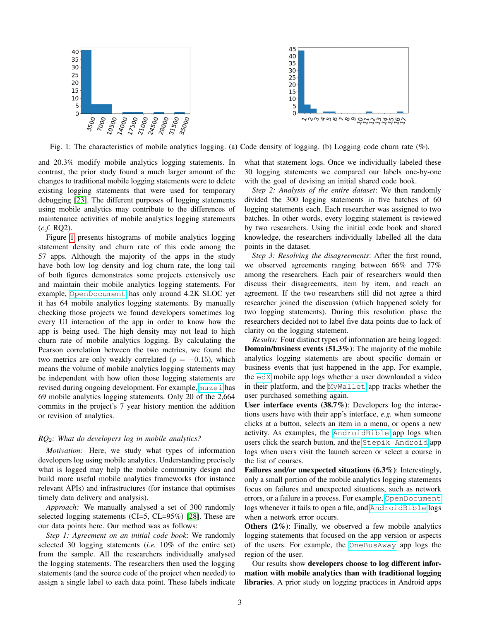<span id="page-2-0"></span>



Fig. 1: The characteristics of mobile analytics logging. (a) Code density of logging. (b) Logging code churn rate  $(\%)$ .

and 20.3% modify mobile analytics logging statements. In contrast, the prior study found a much larger amount of the changes to traditional mobile logging statements were to delete existing logging statements that were used for temporary debugging [\[23\]](#page-4-22). The different purposes of logging statements using mobile analytics may contribute to the differences of maintenance activities of mobile analytics logging statements (*c.f.* RQ2).

Figure [1](#page-2-0) presents histograms of mobile analytics logging statement density and churn rate of this code among the 57 apps. Although the majority of the apps in the study have both low log density and log churn rate, the long tail of both figures demonstrates some projects extensively use and maintain their mobile analytics logging statements. For example, [OpenDocument](https://github.com/opendocument-app/OpenDocument.droid) has only around 4.2K SLOC yet it has 64 mobile analytics logging statements. By manually checking those projects we found developers sometimes log every UI interaction of the app in order to know how the app is being used. The high density may not lead to high churn rate of mobile analytics logging. By calculating the Pearson correlation between the two metrics, we found the two metrics are only weakly correlated ( $\rho = -0.15$ ), which means the volume of mobile analytics logging statements may be independent with how often those logging statements are revised during ongoing development. For example, [muzei](https://github.com/romannurik/muzei) has 69 mobile analytics logging statements. Only 20 of the 2,664 commits in the project's 7 year history mention the addition or revision of analytics.

## *RQ*2*: What do developers log in mobile analytics?*

*Motivation:* Here, we study what types of information developers log using mobile analytics. Understanding precisely what is logged may help the mobile community design and build more useful mobile analytics frameworks (for instance relevant APIs) and infrastructures (for instance that optimises timely data delivery and analysis).

*Approach:* We manually analysed a set of 300 randomly selected logging statements (CI=5, CL=95%) [\[28\]](#page-4-27). These are our data points here. Our method was as follows:

*Step 1: Agreement on an initial code book*: We randomly selected 30 logging statements (*i.e.* 10% of the entire set) from the sample. All the researchers individually analysed the logging statements. The researchers then used the logging statements (and the source code of the project when needed) to assign a single label to each data point. These labels indicate

what that statement logs. Once we individually labeled these 30 logging statements we compared our labels one-by-one with the goal of devising an initial shared code book.

*Step 2: Analysis of the entire dataset*: We then randomly divided the 300 logging statements in five batches of 60 logging statements each. Each researcher was assigned to two batches. In other words, every logging statement is reviewed by two researchers. Using the initial code book and shared knowledge, the researchers individually labelled all the data points in the dataset.

*Step 3: Resolving the disagreements*: After the first round, we observed agreements ranging between 66% and 77% among the researchers. Each pair of researchers would then discuss their disagreements, item by item, and reach an agreement. If the two researchers still did not agree a third researcher joined the discussion (which happened solely for two logging statements). During this resolution phase the researchers decided not to label five data points due to lack of clarity on the logging statement.

*Results:* Four distinct types of information are being logged: Domain/business events (51.3%): The majority of the mobile analytics logging statements are about specific domain or business events that just happened in the app. For example, the [edX](https://github.com/edx/edx-app-android) mobile app logs whether a user downloaded a video in their platform, and the [MyWallet](https://github.com/blockchain/My-Wallet-V3-Android) app tracks whether the user purchased something again.

User interface events (38.7%): Developers log the interactions users have with their app's interface, *e.g.* when someone clicks at a button, selects an item in a menu, or opens a new activity. As examples, the [AndroidBible](https://github.com/blockchain/My-Wallet-V3-Android) app logs when users click the search button, and the [Stepik Android](https://github.com/StepicOrg/stepik-android) app logs when users visit the launch screen or select a course in the list of courses.

Failures and/or unexpected situations (6.3%): Interestingly, only a small portion of the mobile analytics logging statements focus on failures and unexpected situations, such as network errors, or a failure in a process. For example, [OpenDocument](https://github.com/opendocument-app/OpenDocument.droid) logs whenever it fails to open a file, and [AndroidBible](https://github.com/blockchain/My-Wallet-V3-Android) logs when a network error occurs.

Others (2%): Finally, we observed a few mobile analytics logging statements that focused on the app version or aspects of the users. For example, the [OneBusAway](https://github.com/OneBusAway/onebusaway-android) app logs the region of the user.

Our results show developers choose to log different information with mobile analytics than with traditional logging libraries. A prior study on logging practices in Android apps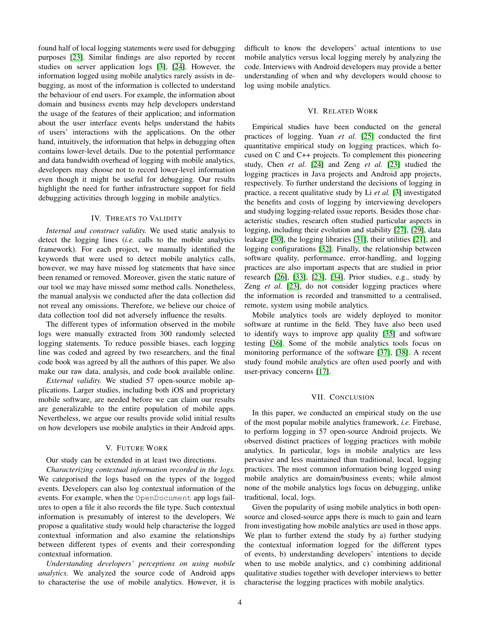found half of local logging statements were used for debugging purposes [\[23\]](#page-4-22). Similar findings are also reported by recent studies on server application logs [\[3\]](#page-4-2), [\[24\]](#page-4-23). However, the information logged using mobile analytics rarely assists in debugging, as most of the information is collected to understand the behaviour of end users. For example, the information about domain and business events may help developers understand the usage of the features of their application; and information about the user interface events helps understand the habits of users' interactions with the applications. On the other hand, intuitively, the information that helps in debugging often contains lower-level details. Due to the potential performance and data bandwidth overhead of logging with mobile analytics, developers may choose not to record lower-level information even though it might be useful for debugging. Our results highlight the need for further infrastructure support for field debugging activities through logging in mobile analytics.

# IV. THREATS TO VALIDITY

*Internal and construct validity.* We used static analysis to detect the logging lines (*i.e.* calls to the mobile analytics framework). For each project, we manually identified the keywords that were used to detect mobile analytics calls, however, we may have missed log statements that have since been renamed or removed. Moreover, given the static nature of our tool we may have missed some method calls. Nonetheless, the manual analysis we conducted after the data collection did not reveal any omissions. Therefore, we believe our choice of data collection tool did not adversely influence the results.

The different types of information observed in the mobile logs were manually extracted from 300 randomly selected logging statements. To reduce possible biases, each logging line was coded and agreed by two researchers, and the final code book was agreed by all the authors of this paper. We also make our raw data, analysis, and code book available online.

*External validity.* We studied 57 open-source mobile applications. Larger studies, including both iOS and proprietary mobile software, are needed before we can claim our results are generalizable to the entire population of mobile apps. Nevertheless, we argue our results provide solid initial results on how developers use mobile analytics in their Android apps.

## V. FUTURE WORK

Our study can be extended in at least two directions.

*Characterizing contextual information recorded in the logs.* We categorised the logs based on the types of the logged events. Developers can also log contextual information of the events. For example, when the OpenDocument app logs failures to open a file it also records the file type. Such contextual information is presumably of interest to the developers. We propose a qualitative study would help characterise the logged contextual information and also examine the relationships between different types of events and their corresponding contextual information.

*Understanding developers' perceptions on using mobile analytics.* We analyzed the source code of Android apps to characterise the use of mobile analytics. However, it is difficult to know the developers' actual intentions to use mobile analytics versus local logging merely by analyzing the code. Interviews with Android developers may provide a better understanding of when and why developers would choose to log using mobile analytics.

## VI. RELATED WORK

Empirical studies have been conducted on the general practices of logging. Yuan *et al.* [\[25\]](#page-4-24) conducted the first quantitative empirical study on logging practices, which focused on C and C++ projects. To complement this pioneering study, Chen *et al.* [\[24\]](#page-4-23) and Zeng *et al.* [\[23\]](#page-4-22) studied the logging practices in Java projects and Android app projects, respectively. To further understand the decisions of logging in practice, a recent qualitative study by Li *et al.* [\[3\]](#page-4-2) investigated the benefits and costs of logging by interviewing developers and studying logging-related issue reports. Besides those characteristic studies, research often studied particular aspects in logging, including their evolution and stability [\[27\]](#page-4-26), [\[29\]](#page-4-28), data leakage [\[30\]](#page-4-29), the logging libraries [\[31\]](#page-4-30), their utilities [\[21\]](#page-4-20), and logging configurations [\[32\]](#page-4-31). Finally, the relationship between software quality, performance, error-handling, and logging practices are also important aspects that are studied in prior research [\[26\]](#page-4-25), [\[33\]](#page-4-32), [\[23\]](#page-4-22), [\[34\]](#page-4-33). Prior studies, e.g., study by Zeng *et al.* [\[23\]](#page-4-22), do not consider logging practices where the information is recorded and transmitted to a centralised, remote, system using mobile analytics.

Mobile analytics tools are widely deployed to monitor software at runtime in the field. They have also been used to identify ways to improve app quality [\[35\]](#page-4-34) and software testing [\[36\]](#page-4-35). Some of the mobile analytics tools focus on monitoring performance of the software [\[37\]](#page-4-36), [\[38\]](#page-4-37). A recent study found mobile analytics are often used poorly and with user-privacy concerns [\[17\]](#page-4-16).

## VII. CONCLUSION

In this paper, we conducted an empirical study on the use of the most popular mobile analytics framework, *i.e.* Firebase, to perform logging in 57 open-source Android projects. We observed distinct practices of logging practices with mobile analytics. In particular, logs in mobile analytics are less pervasive and less maintained than traditional, local, logging practices. The most common information being logged using mobile analytics are domain/business events; while almost none of the mobile analytics logs focus on debugging, unlike traditional, local, logs.

Given the popularity of using mobile analytics in both opensource and closed-source apps there is much to gain and learn from investigating how mobile analytics are used in those apps. We plan to further extend the study by a) further studying the contextual information logged for the different types of events, b) understanding developers' intentions to decide when to use mobile analytics, and c) combining additional qualitative studies together with developer interviews to better characterise the logging practices with mobile analytics.